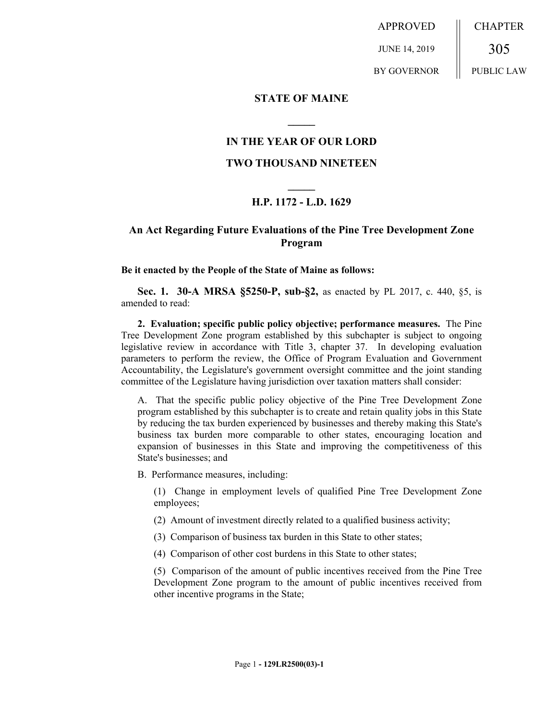APPROVED JUNE 14, 2019 BY GOVERNOR CHAPTER 305 PUBLIC LAW

## **STATE OF MAINE**

## **IN THE YEAR OF OUR LORD**

**\_\_\_\_\_**

#### **TWO THOUSAND NINETEEN**

# **\_\_\_\_\_ H.P. 1172 - L.D. 1629**

# **An Act Regarding Future Evaluations of the Pine Tree Development Zone Program**

**Be it enacted by the People of the State of Maine as follows:**

**Sec. 1. 30-A MRSA §5250-P, sub-§2,** as enacted by PL 2017, c. 440, §5, is amended to read:

**2. Evaluation; specific public policy objective; performance measures.** The Pine Tree Development Zone program established by this subchapter is subject to ongoing legislative review in accordance with Title 3, chapter 37. In developing evaluation parameters to perform the review, the Office of Program Evaluation and Government Accountability, the Legislature's government oversight committee and the joint standing committee of the Legislature having jurisdiction over taxation matters shall consider:

A. That the specific public policy objective of the Pine Tree Development Zone program established by this subchapter is to create and retain quality jobs in this State by reducing the tax burden experienced by businesses and thereby making this State's business tax burden more comparable to other states, encouraging location and expansion of businesses in this State and improving the competitiveness of this State's businesses; and

B. Performance measures, including:

(1) Change in employment levels of qualified Pine Tree Development Zone employees;

(2) Amount of investment directly related to a qualified business activity;

- (3) Comparison of business tax burden in this State to other states;
- (4) Comparison of other cost burdens in this State to other states;

(5) Comparison of the amount of public incentives received from the Pine Tree Development Zone program to the amount of public incentives received from other incentive programs in the State;